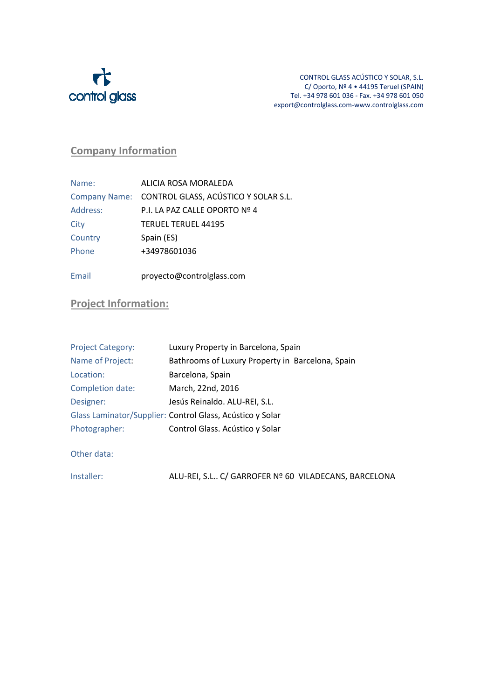

## Company Information

| Name:    | ALICIA ROSA MORALEDA                               |
|----------|----------------------------------------------------|
|          | Company Name: CONTROL GLASS, ACÚSTICO Y SOLAR S.L. |
| Address: | P.I. LA PAZ CALLE OPORTO Nº 4                      |
| City     | <b>TERUEL TERUEL 44195</b>                         |
| Country  | Spain (ES)                                         |
| Phone    | +34978601036                                       |
|          |                                                    |

## Email proyecto@controlglass.com

## Project Information:

| <b>Project Category:</b> | Luxury Property in Barcelona, Spain                       |
|--------------------------|-----------------------------------------------------------|
| Name of Project:         | Bathrooms of Luxury Property in Barcelona, Spain          |
| Location:                | Barcelona, Spain                                          |
| Completion date:         | March, 22nd, 2016                                         |
| Designer:                | Jesús Reinaldo. ALU-REI, S.L.                             |
|                          | Glass Laminator/Supplier: Control Glass, Acústico y Solar |
| Photographer:            | Control Glass. Acústico y Solar                           |
|                          |                                                           |

Other data:

Installer: ALU-REI, S.L.. C/ GARROFER Nº 60 VILADECANS, BARCELONA